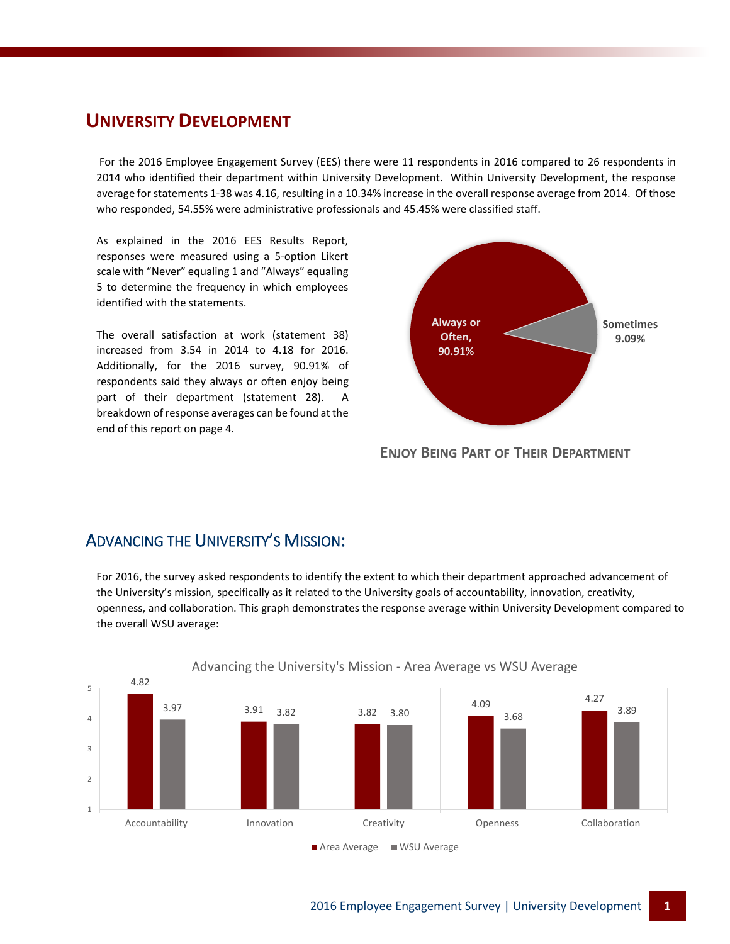### **UNIVERSITY DEVELOPMENT**

For the 2016 Employee Engagement Survey (EES) there were 11 respondents in 2016 compared to 26 respondents in 2014 who identified their department within University Development. Within University Development, the response average for statements 1-38 was 4.16, resulting in a 10.34% increase in the overall response average from 2014. Of those who responded, 54.55% were administrative professionals and 45.45% were classified staff.

As explained in the 2016 EES Results Report, responses were measured using a 5-option Likert scale with "Never" equaling 1 and "Always" equaling 5 to determine the frequency in which employees identified with the statements.

The overall satisfaction at work (statement 38) increased from 3.54 in 2014 to 4.18 for 2016. Additionally, for the 2016 survey, 90.91% of respondents said they always or often enjoy being part of their department (statement 28). A breakdown of response averages can be found at the end of this report on page 4.



**ENJOY BEING PART OF THEIR DEPARTMENT**

### ADVANCING THE UNIVERSITY'S MISSION:

For 2016, the survey asked respondents to identify the extent to which their department approached advancement of the University's mission, specifically as it related to the University goals of accountability, innovation, creativity, openness, and collaboration. This graph demonstrates the response average within University Development compared to the overall WSU average:



Advancing the University's Mission - Area Average vs WSU Average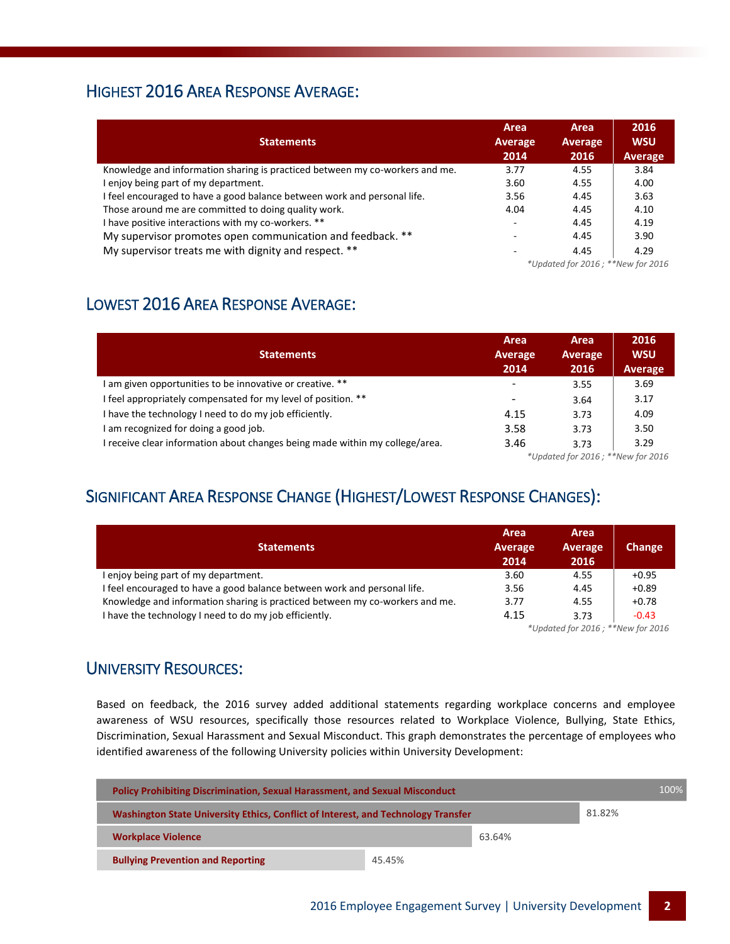### HIGHEST 2016 AREA RESPONSE AVERAGE:

| <b>Statements</b>                                                            | Area<br><b>Average</b><br>2014                      | Area<br>Average<br>2016 | 2016<br><b>WSU</b><br>Average |
|------------------------------------------------------------------------------|-----------------------------------------------------|-------------------------|-------------------------------|
| Knowledge and information sharing is practiced between my co-workers and me. | 3.77                                                | 4.55                    | 3.84                          |
| I enjoy being part of my department.                                         | 3.60                                                | 4.55                    | 4.00                          |
| I feel encouraged to have a good balance between work and personal life.     | 3.56                                                | 4.45                    | 3.63                          |
| Those around me are committed to doing quality work.                         | 4.04                                                | 4.45                    | 4.10                          |
| I have positive interactions with my co-workers. **                          | $\overline{\phantom{a}}$                            | 4.45                    | 4.19                          |
| My supervisor promotes open communication and feedback. **                   |                                                     | 4.45                    | 3.90                          |
| My supervisor treats me with dignity and respect. **                         | -                                                   | 4.45                    | 4.29                          |
|                                                                              | $*$ Indated for $2016 \cdot$ $*$ $*$ New for $2016$ |                         |                               |

*\*Updated for 2016 ; \*\*New for 2016*

## LOWEST 2016 AREA RESPONSE AVERAGE:

|                                                                              | Area                              | Area    | 2016       |
|------------------------------------------------------------------------------|-----------------------------------|---------|------------|
| <b>Statements</b>                                                            | Average                           | Average | <b>WSU</b> |
|                                                                              | 2014                              | 2016    | Average    |
| am given opportunities to be innovative or creative. **                      | $\qquad \qquad$                   | 3.55    | 3.69       |
| I feel appropriately compensated for my level of position. **                |                                   | 3.64    | 3.17       |
| I have the technology I need to do my job efficiently.                       | 4.15                              | 3.73    | 4.09       |
| I am recognized for doing a good job.                                        | 3.58                              | 3.73    | 3.50       |
| I receive clear information about changes being made within my college/area. | 3.46                              | 3.73    | 3.29       |
|                                                                              | *Updated for 2016; **New for 2016 |         |            |

# SIGNIFICANT AREA RESPONSE CHANGE (HIGHEST/LOWEST RESPONSE CHANGES):

| <b>Statements</b>                                                            | Area<br>Average<br>2014                         | Area<br>Average<br>2016 | Change  |
|------------------------------------------------------------------------------|-------------------------------------------------|-------------------------|---------|
| I enjoy being part of my department.                                         | 3.60                                            | 4.55                    | $+0.95$ |
| I feel encouraged to have a good balance between work and personal life.     | 3.56                                            | 4.45                    | $+0.89$ |
| Knowledge and information sharing is practiced between my co-workers and me. | 3.77                                            | 4.55                    | $+0.78$ |
| I have the technology I need to do my job efficiently.                       | 4.15                                            | 3.73                    | $-0.43$ |
|                                                                              | $*$ llodated for $2016 \cdot **$ New for $2016$ |                         |         |

*\*Updated for 2016 ; \*\*New for 2016*

### UNIVERSITY RESOURCES:

Based on feedback, the 2016 survey added additional statements regarding workplace concerns and employee awareness of WSU resources, specifically those resources related to Workplace Violence, Bullying, State Ethics, Discrimination, Sexual Harassment and Sexual Misconduct. This graph demonstrates the percentage of employees who identified awareness of the following University policies within University Development:

| <b>Policy Prohibiting Discrimination, Sexual Harassment, and Sexual Misconduct</b> |        |        | 100%   |  |
|------------------------------------------------------------------------------------|--------|--------|--------|--|
| Washington State University Ethics, Conflict of Interest, and Technology Transfer  |        |        | 81.82% |  |
| <b>Workplace Violence</b>                                                          |        | 63.64% |        |  |
| <b>Bullying Prevention and Reporting</b>                                           | 45.45% |        |        |  |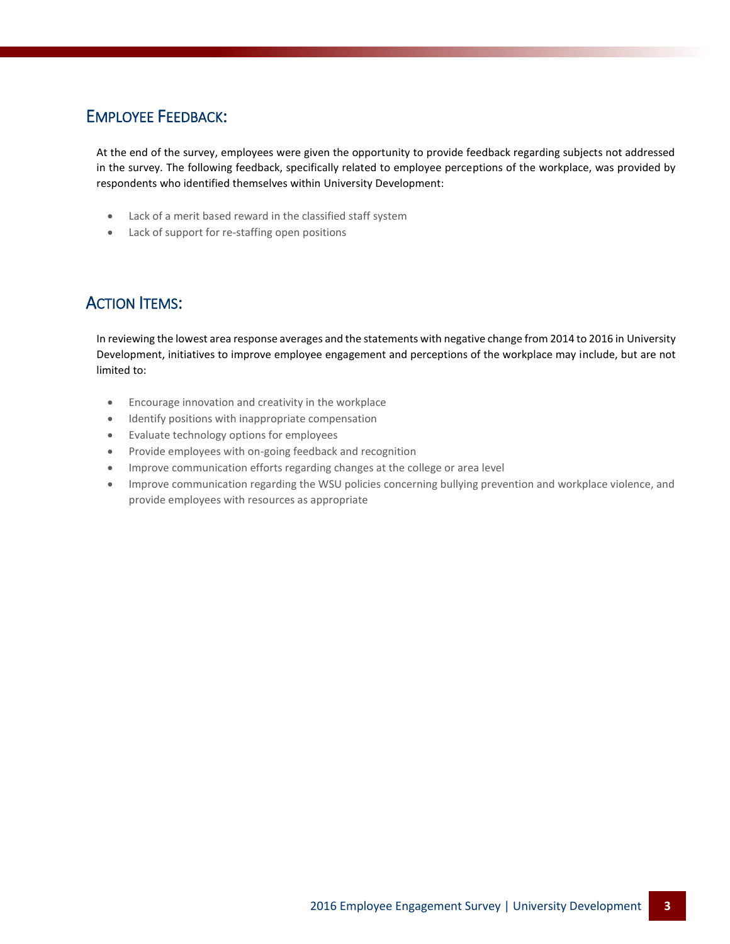## EMPLOYEE FEEDBACK:

At the end of the survey, employees were given the opportunity to provide feedback regarding subjects not addressed in the survey. The following feedback, specifically related to employee perceptions of the workplace, was provided by respondents who identified themselves within University Development:

- Lack of a merit based reward in the classified staff system
- Lack of support for re-staffing open positions

### ACTION ITEMS:

In reviewing the lowest area response averages and the statements with negative change from 2014 to 2016 in University Development, initiatives to improve employee engagement and perceptions of the workplace may include, but are not limited to:

- Encourage innovation and creativity in the workplace
- **•** Identify positions with inappropriate compensation
- Evaluate technology options for employees
- Provide employees with on-going feedback and recognition
- Improve communication efforts regarding changes at the college or area level
- Improve communication regarding the WSU policies concerning bullying prevention and workplace violence, and provide employees with resources as appropriate